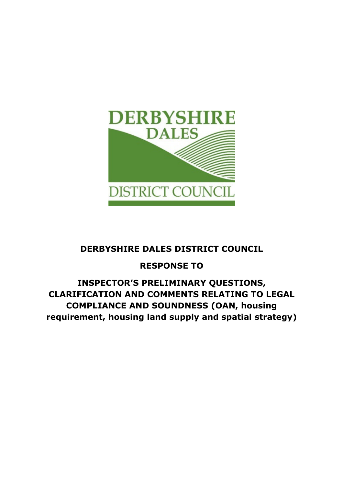

# DERBYSHIRE DALES DISTRICT COUNCIL

# RESPONSE TO

INSPECTOR'S PRELIMINARY QUESTIONS, CLARIFICATION AND COMMENTS RELATING TO LEGAL COMPLIANCE AND SOUNDNESS (OAN, housing requirement, housing land supply and spatial strategy)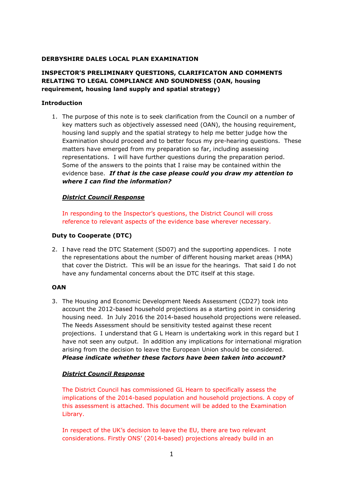# DERBYSHIRE DALES LOCAL PLAN EXAMINATION

# INSPECTOR'S PRELIMINARY QUESTIONS, CLARIFICATON AND COMMENTS RELATING TO LEGAL COMPLIANCE AND SOUNDNESS (OAN, housing requirement, housing land supply and spatial strategy)

#### Introduction

1. The purpose of this note is to seek clarification from the Council on a number of key matters such as objectively assessed need (OAN), the housing requirement, housing land supply and the spatial strategy to help me better judge how the Examination should proceed and to better focus my pre-hearing questions. These matters have emerged from my preparation so far, including assessing representations. I will have further questions during the preparation period. Some of the answers to the points that I raise may be contained within the evidence base. If that is the case please could you draw my attention to where I can find the information?

#### District Council Response

In responding to the Inspector's questions, the District Council will cross reference to relevant aspects of the evidence base wherever necessary.

#### Duty to Cooperate (DTC)

2. I have read the DTC Statement (SD07) and the supporting appendices. I note the representations about the number of different housing market areas (HMA) that cover the District. This will be an issue for the hearings. That said I do not have any fundamental concerns about the DTC itself at this stage.

# **OAN**

3. The Housing and Economic Development Needs Assessment (CD27) took into account the 2012-based household projections as a starting point in considering housing need. In July 2016 the 2014-based household projections were released. The Needs Assessment should be sensitivity tested against these recent projections. I understand that G L Hearn is undertaking work in this regard but I have not seen any output. In addition any implications for international migration arising from the decision to leave the European Union should be considered. Please indicate whether these factors have been taken into account?

# District Council Response

The District Council has commissioned GL Hearn to specifically assess the implications of the 2014-based population and household projections. A copy of this assessment is attached. This document will be added to the Examination Library.

In respect of the UK's decision to leave the EU, there are two relevant considerations. Firstly ONS' (2014-based) projections already build in an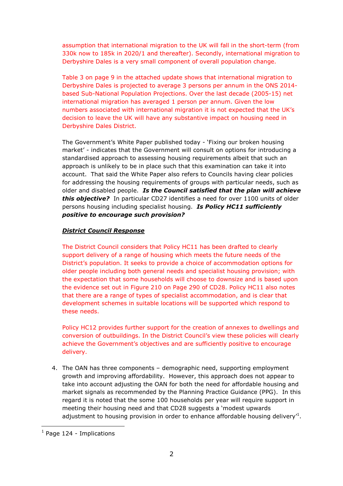assumption that international migration to the UK will fall in the short-term (from 330k now to 185k in 2020/1 and thereafter). Secondly, international migration to Derbyshire Dales is a very small component of overall population change.

Table 3 on page 9 in the attached update shows that international migration to Derbyshire Dales is projected to average 3 persons per annum in the ONS 2014 based Sub-National Population Projections. Over the last decade (2005-15) net international migration has averaged 1 person per annum. Given the low numbers associated with international migration it is not expected that the UK's decision to leave the UK will have any substantive impact on housing need in Derbyshire Dales District.

The Government's White Paper published today - 'Fixing our broken housing market' - indicates that the Government will consult on options for introducing a standardised approach to assessing housing requirements albeit that such an approach is unlikely to be in place such that this examination can take it into account. That said the White Paper also refers to Councils having clear policies for addressing the housing requirements of groups with particular needs, such as older and disabled people. Is the Council satisfied that the plan will achieve this objective? In particular CD27 identifies a need for over 1100 units of older persons housing including specialist housing. Is Policy HC11 sufficiently positive to encourage such provision?

# District Council Response

The District Council considers that Policy HC11 has been drafted to clearly support delivery of a range of housing which meets the future needs of the District's population. It seeks to provide a choice of accommodation options for older people including both general needs and specialist housing provision; with the expectation that some households will choose to downsize and is based upon the evidence set out in Figure 210 on Page 290 of CD28. Policy HC11 also notes that there are a range of types of specialist accommodation, and is clear that development schemes in suitable locations will be supported which respond to these needs.

Policy HC12 provides further support for the creation of annexes to dwellings and conversion of outbuildings. In the District Council's view these policies will clearly achieve the Government's objectives and are sufficiently positive to encourage delivery.

4. The OAN has three components – demographic need, supporting employment growth and improving affordability. However, this approach does not appear to take into account adjusting the OAN for both the need for affordable housing and market signals as recommended by the Planning Practice Guidance (PPG). In this regard it is noted that the some 100 households per year will require support in meeting their housing need and that CD28 suggests a 'modest upwards adjustment to housing provision in order to enhance affordable housing delivery'<sup>1</sup>.

l <sup>1</sup> Page 124 - Implications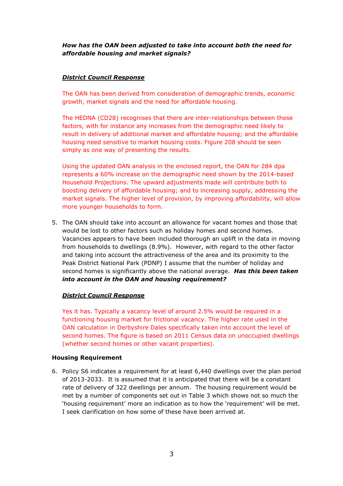# How has the OAN been adjusted to take into account both the need for affordable housing and market signals?

# District Council Response

The OAN has been derived from consideration of demographic trends, economic growth, market signals and the need for affordable housing.

The HEDNA (CD28) recognises that there are inter-relationships between these factors, with for instance any increases from the demographic need likely to result in delivery of additional market and affordable housing; and the affordable housing need sensitive to market housing costs. Figure 208 should be seen simply as one way of presenting the results.

Using the updated OAN analysis in the enclosed report, the OAN for 284 dpa represents a 60% increase on the demographic need shown by the 2014-based Household Projections. The upward adjustments made will contribute both to boosting delivery of affordable housing; and to increasing supply, addressing the market signals. The higher level of provision, by improving affordability, will allow more younger households to form.

5. The OAN should take into account an allowance for vacant homes and those that would be lost to other factors such as holiday homes and second homes. Vacancies appears to have been included thorough an uplift in the data in moving from households to dwellings (8.9%). However, with regard to the other factor and taking into account the attractiveness of the area and its proximity to the Peak District National Park (PDNP) I assume that the number of holiday and second homes is significantly above the national average. Has this been taken into account in the OAN and housing requirement?

# District Council Response

Yes it has. Typically a vacancy level of around 2.5% would be required in a functioning housing market for frictional vacancy. The higher rate used in the OAN calculation in Derbyshire Dales specifically taken into account the level of second homes. The figure is based on 2011 Census data on unoccupied dwellings (whether second homes or other vacant properties).

# Housing Requirement

6. Policy S6 indicates a requirement for at least 6,440 dwellings over the plan period of 2013-2033. It is assumed that it is anticipated that there will be a constant rate of delivery of 322 dwellings per annum. The housing requirement would be met by a number of components set out in Table 3 which shows not so much the 'housing requirement' more an indication as to how the 'requirement' will be met. I seek clarification on how some of these have been arrived at.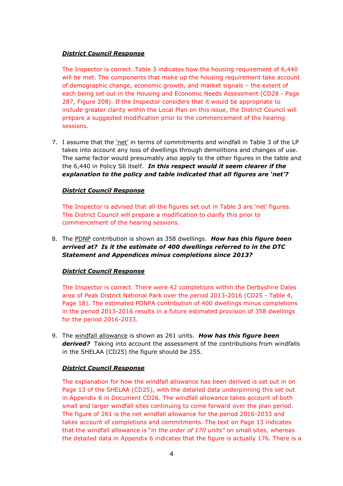The Inspector is correct. Table 3 indicates how the housing requirement of 6,440 will be met. The components that make up the housing requirement take account of demographic change, economic growth, and market signals – the extent of each being set out in the Housing and Economic Needs Assessment (CD28 - Page 287, Figure 208). If the Inspector considers that it would be appropriate to include greater clarity within the Local Plan on this issue, the District Council will prepare a suggested modification prior to the commencement of the hearing sessions.

7. I assume that the 'net' in terms of commitments and windfall in Table 3 of the LP takes into account any loss of dwellings through demolitions and changes of use. The same factor would presumably also apply to the other figures in the table and the 6,440 in Policy S6 itself. In this respect would it seem clearer if the explanation to the policy and table indicated that all figures are 'net'?

# District Council Response

The Inspector is advised that all the figures set out in Table 3 are 'net' figures. The District Council will prepare a modification to clarify this prior to commencement of the hearing sessions.

8. The PDNP contribution is shown as 358 dwellings. How has this figure been arrived at? Is it the estimate of 400 dwellings referred to in the DTC Statement and Appendices minus completions since 2013?

# District Council Response

The Inspector is correct. There were 42 completions within the Derbyshire Dales area of Peak District National Park over the period 2013-2016 (CD25 - Table 4, Page 18). The estimated PDNPA contribution of 400 dwellings minus completions in the period 2013-2016 results in a future estimated provision of 358 dwellings for the period 2016-2033.

9. The windfall allowance is shown as 261 units. How has this figure been derived? Taking into account the assessment of the contributions from windfalls in the SHELAA (CD25) the figure should be 255.

# District Council Response

The explanation for how the windfall allowance has been derived is set out in on Page 13 of the SHELAA (CD25), with the detailed data underpinning this set out in Appendix 6 in Document CD26. The windfall allowance takes account of both small and larger windfall sites continuing to come forward over the plan period. The figure of 261 is the net windfall allowance for the period 2016-2033 and takes account of completions and commitments. The text on Page 13 indicates that the windfall allowance is "in the order of 170 units" on small sites, whereas the detailed data in Appendix 6 indicates that the figure is actually 176. There is a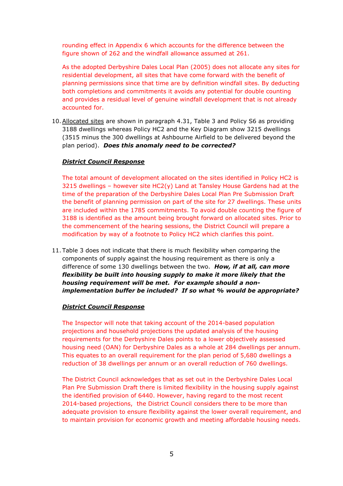rounding effect in Appendix 6 which accounts for the difference between the figure shown of 262 and the windfall allowance assumed at 261.

As the adopted Derbyshire Dales Local Plan (2005) does not allocate any sites for residential development, all sites that have come forward with the benefit of planning permissions since that time are by definition windfall sites. By deducting both completions and commitments it avoids any potential for double counting and provides a residual level of genuine windfall development that is not already accounted for.

10.Allocated sites are shown in paragraph 4.31, Table 3 and Policy S6 as providing 3188 dwellings whereas Policy HC2 and the Key Diagram show 3215 dwellings (3515 minus the 300 dwellings at Ashbourne Airfield to be delivered beyond the plan period). Does this anomaly need to be corrected?

#### District Council Response

The total amount of development allocated on the sites identified in Policy HC2 is 3215 dwellings – however site HC2(y) Land at Tansley House Gardens had at the time of the preparation of the Derbyshire Dales Local Plan Pre Submission Draft the benefit of planning permission on part of the site for 27 dwellings. These units are included within the 1785 commitments. To avoid double counting the figure of 3188 is identified as the amount being brought forward on allocated sites. Prior to the commencement of the hearing sessions, the District Council will prepare a modification by way of a footnote to Policy HC2 which clarifies this point.

11. Table 3 does not indicate that there is much flexibility when comparing the components of supply against the housing requirement as there is only a difference of some 130 dwellings between the two. How, if at all, can more flexibility be built into housing supply to make it more likely that the housing requirement will be met. For example should a nonimplementation buffer be included? If so what % would be appropriate?

#### District Council Response

The Inspector will note that taking account of the 2014-based population projections and household projections the updated analysis of the housing requirements for the Derbyshire Dales points to a lower objectively assessed housing need (OAN) for Derbyshire Dales as a whole at 284 dwellings per annum. This equates to an overall requirement for the plan period of 5,680 dwellings a reduction of 38 dwellings per annum or an overall reduction of 760 dwellings.

The District Council acknowledges that as set out in the Derbyshire Dales Local Plan Pre Submission Draft there is limited flexibility in the housing supply against the identified provision of 6440. However, having regard to the most recent 2014-based projections, the District Council considers there to be more than adequate provision to ensure flexibility against the lower overall requirement, and to maintain provision for economic growth and meeting affordable housing needs.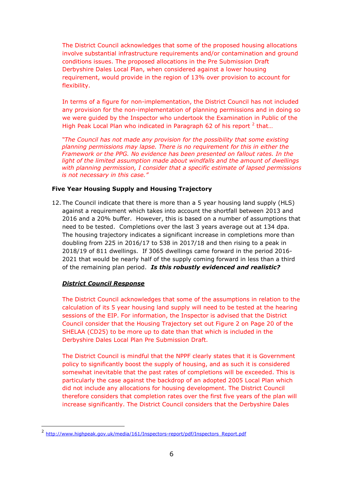The District Council acknowledges that some of the proposed housing allocations involve substantial infrastructure requirements and/or contamination and ground conditions issues. The proposed allocations in the Pre Submission Draft Derbyshire Dales Local Plan, when considered against a lower housing requirement, would provide in the region of 13% over provision to account for flexibility.

In terms of a figure for non-implementation, the District Council has not included any provision for the non-implementation of planning permissions and in doing so we were guided by the Inspector who undertook the Examination in Public of the High Peak Local Plan who indicated in Paragraph 62 of his report  $2$  that...

"The Council has not made any provision for the possibility that some existing planning permissions may lapse. There is no requirement for this in either the Framework or the PPG. No evidence has been presented on fallout rates. In the light of the limited assumption made about windfalls and the amount of dwellings with planning permission, I consider that a specific estimate of lapsed permissions is not necessary in this case."

# Five Year Housing Supply and Housing Trajectory

12. The Council indicate that there is more than a 5 year housing land supply (HLS) against a requirement which takes into account the shortfall between 2013 and 2016 and a 20% buffer. However, this is based on a number of assumptions that need to be tested. Completions over the last 3 years average out at 134 dpa. The housing trajectory indicates a significant increase in completions more than doubling from 225 in 2016/17 to 538 in 2017/18 and then rising to a peak in 2018/19 of 811 dwellings. If 3065 dwellings came forward in the period 2016- 2021 that would be nearly half of the supply coming forward in less than a third of the remaining plan period. Is this robustly evidenced and realistic?

# District Council Response

The District Council acknowledges that some of the assumptions in relation to the calculation of its 5 year housing land supply will need to be tested at the hearing sessions of the EIP. For information, the Inspector is advised that the District Council consider that the Housing Trajectory set out Figure 2 on Page 20 of the SHELAA (CD25) to be more up to date than that which is included in the Derbyshire Dales Local Plan Pre Submission Draft.

The District Council is mindful that the NPPF clearly states that it is Government policy to significantly boost the supply of housing, and as such it is considered somewhat inevitable that the past rates of completions will be exceeded. This is particularly the case against the backdrop of an adopted 2005 Local Plan which did not include any allocations for housing development. The District Council therefore considers that completion rates over the first five years of the plan will increase significantly. The District Council considers that the Derbyshire Dales

 2 http://www.highpeak.gov.uk/media/161/Inspectors-report/pdf/Inspectors\_Report.pdf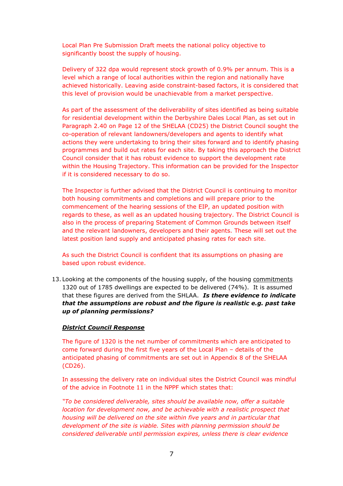Local Plan Pre Submission Draft meets the national policy objective to significantly boost the supply of housing.

Delivery of 322 dpa would represent stock growth of 0.9% per annum. This is a level which a range of local authorities within the region and nationally have achieved historically. Leaving aside constraint-based factors, it is considered that this level of provision would be unachievable from a market perspective.

As part of the assessment of the deliverability of sites identified as being suitable for residential development within the Derbyshire Dales Local Plan, as set out in Paragraph 2.40 on Page 12 of the SHELAA (CD25) the District Council sought the co-operation of relevant landowners/developers and agents to identify what actions they were undertaking to bring their sites forward and to identify phasing programmes and build out rates for each site. By taking this approach the District Council consider that it has robust evidence to support the development rate within the Housing Trajectory. This information can be provided for the Inspector if it is considered necessary to do so.

The Inspector is further advised that the District Council is continuing to monitor both housing commitments and completions and will prepare prior to the commencement of the hearing sessions of the EIP, an updated position with regards to these, as well as an updated housing trajectory. The District Council is also in the process of preparing Statement of Common Grounds between itself and the relevant landowners, developers and their agents. These will set out the latest position land supply and anticipated phasing rates for each site.

As such the District Council is confident that its assumptions on phasing are based upon robust evidence.

13. Looking at the components of the housing supply, of the housing commitments 1320 out of 1785 dwellings are expected to be delivered (74%). It is assumed that these figures are derived from the SHLAA. Is there evidence to indicate that the assumptions are robust and the figure is realistic e.g. past take up of planning permissions?

#### District Council Response

The figure of 1320 is the net number of commitments which are anticipated to come forward during the first five years of the Local Plan – details of the anticipated phasing of commitments are set out in Appendix 8 of the SHELAA (CD26).

In assessing the delivery rate on individual sites the District Council was mindful of the advice in Footnote 11 in the NPPF which states that:

"To be considered deliverable, sites should be available now, offer a suitable location for development now, and be achievable with a realistic prospect that housing will be delivered on the site within five years and in particular that development of the site is viable. Sites with planning permission should be considered deliverable until permission expires, unless there is clear evidence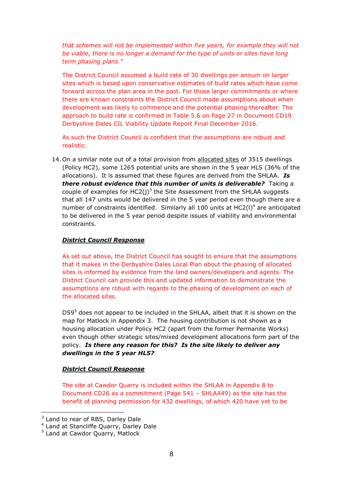that schemes will not be implemented within five years, for example they will not be viable, there is no longer a demand for the type of units or sites have long term phasing plans."

The District Council assumed a build rate of 30 dwellings per annum on larger sites which is based upon conservative estimates of build rates which have come forward across the plan area in the past. For those larger commitments or where there are known constraints the District Council made assumptions about when development was likely to commence and the potential phasing thereafter. The approach to build rate is confirmed in Table 5.6 on Page 27 in Document CD19 Derbyshire Dales CIL Viability Update Report Final December 2016.

As such the District Council is confident that the assumptions are robust and realistic.

14. On a similar note out of a total provision from allocated sites of 3515 dwellings (Policy HC2), some 1265 potential units are shown in the 5 year HLS (36% of the allocations). It is assumed that these figures are derived from the SHLAA.  $Is$ there robust evidence that this number of units is deliverable? Taking a couple of examples for HC2 $(j)^3$  the Site Assessment from the SHLAA suggests that all 147 units would be delivered in the 5 year period even though there are a number of constraints identified. Similarly all 100 units at HC2 $(l)^4$  are anticipated to be delivered in the 5 year period despite issues of viability and environmental constraints.

#### District Council Response

As set out above, the District Council has sought to ensure that the assumptions that it makes in the Derbyshire Dales Local Plan about the phasing of allocated sites is informed by evidence from the land owners/developers and agents. The District Council can provide this and updated information to demonstrate the assumptions are robust with regards to the phasing of development on each of the allocated sites.

DS9<sup>5</sup> does not appear to be included in the SHLAA, albeit that it is shown on the map for Matlock in Appendix 3. The housing contribution is not shown as a housing allocation under Policy HC2 (apart from the former Permanite Works) even though other strategic sites/mixed development allocations form part of the policy. Is there any reason for this? Is the site likely to deliver any dwellings in the 5 year HLS?

#### District Council Response

The site at Cawdor Quarry is included within the SHLAA in Appendix 8 to Document CD26 as a commitment (Page 541 – SHLAA49) as the site has the benefit of planning permission for 432 dwellings, of which 420 have yet to be

l

<sup>&</sup>lt;sup>3</sup> Land to rear of RBS, Darley Dale

<sup>4</sup> Land at Stancliffe Quarry, Darley Dale

<sup>&</sup>lt;sup>5</sup> Land at Cawdor Quarry, Matlock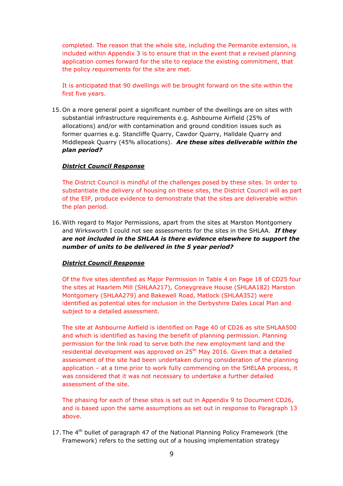completed. The reason that the whole site, including the Permanite extension, is included within Appendix 3 is to ensure that in the event that a revised planning application comes forward for the site to replace the existing commitment, that the policy requirements for the site are met.

It is anticipated that 90 dwellings will be brought forward on the site within the first five years.

15. On a more general point a significant number of the dwellings are on sites with substantial infrastructure requirements e.g. Ashbourne Airfield (25% of allocations) and/or with contamination and ground condition issues such as former quarries e.g. Stancliffe Quarry, Cawdor Quarry, Halldale Quarry and Middlepeak Quarry (45% allocations). Are these sites deliverable within the plan period?

#### District Council Response

The District Council is mindful of the challenges posed by these sites. In order to substantiate the delivery of housing on these sites, the District Council will as part of the EIP, produce evidence to demonstrate that the sites are deliverable within the plan period.

16. With regard to Major Permissions, apart from the sites at Marston Montgomery and Wirksworth I could not see assessments for the sites in the SHLAA. If they are not included in the SHLAA is there evidence elsewhere to support the number of units to be delivered in the 5 year period?

#### District Council Response

Of the five sites identified as Major Permission in Table 4 on Page 18 of CD25 four the sites at Haarlem Mill (SHLAA217), Coneygreave House (SHLAA182) Marston Montgomery (SHLAA279) and Bakewell Road, Matlock (SHLAA352) were identified as potential sites for inclusion in the Derbyshire Dales Local Plan and subject to a detailed assessment.

The site at Ashbourne Airfield is identified on Page 40 of CD26 as site SHLAA500 and which is identified as having the benefit of planning permission. Planning permission for the link road to serve both the new employment land and the residential development was approved on 25<sup>th</sup> May 2016. Given that a detailed assessment of the site had been undertaken during consideration of the planning application – at a time prior to work fully commencing on the SHELAA process, it was considered that it was not necessary to undertake a further detailed assessment of the site.

The phasing for each of these sites is set out in Appendix 9 to Document CD26, and is based upon the same assumptions as set out in response to Paragraph 13 above.

17. The  $4<sup>th</sup>$  bullet of paragraph 47 of the National Planning Policy Framework (the Framework) refers to the setting out of a housing implementation strategy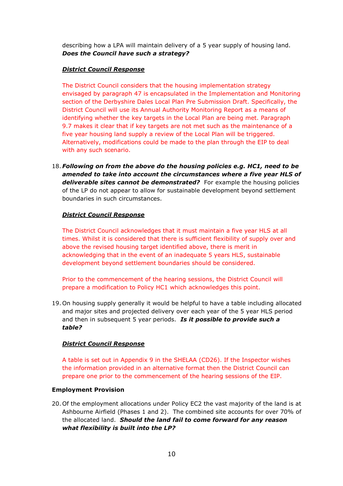describing how a LPA will maintain delivery of a 5 year supply of housing land. Does the Council have such a strategy?

# District Council Response

The District Council considers that the housing implementation strategy envisaged by paragraph 47 is encapsulated in the Implementation and Monitoring section of the Derbyshire Dales Local Plan Pre Submission Draft. Specifically, the District Council will use its Annual Authority Monitoring Report as a means of identifying whether the key targets in the Local Plan are being met. Paragraph 9.7 makes it clear that if key targets are not met such as the maintenance of a five year housing land supply a review of the Local Plan will be triggered. Alternatively, modifications could be made to the plan through the EIP to deal with any such scenario.

18. Following on from the above do the housing policies e.g. HC1, need to be amended to take into account the circumstances where a five year HLS of deliverable sites cannot be demonstrated? For example the housing policies of the LP do not appear to allow for sustainable development beyond settlement boundaries in such circumstances.

# District Council Response

The District Council acknowledges that it must maintain a five year HLS at all times. Whilst it is considered that there is sufficient flexibility of supply over and above the revised housing target identified above, there is merit in acknowledging that in the event of an inadequate 5 years HLS, sustainable development beyond settlement boundaries should be considered.

Prior to the commencement of the hearing sessions, the District Council will prepare a modification to Policy HC1 which acknowledges this point.

19. On housing supply generally it would be helpful to have a table including allocated and major sites and projected delivery over each year of the 5 year HLS period and then in subsequent 5 year periods. Is it possible to provide such a table?

# District Council Response

A table is set out in Appendix 9 in the SHELAA (CD26). If the Inspector wishes the information provided in an alternative format then the District Council can prepare one prior to the commencement of the hearing sessions of the EIP.

# Employment Provision

20. Of the employment allocations under Policy EC2 the vast majority of the land is at Ashbourne Airfield (Phases 1 and 2). The combined site accounts for over 70% of the allocated land. Should the land fail to come forward for any reason what flexibility is built into the LP?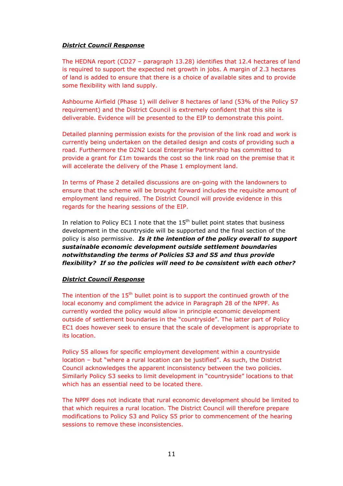The HEDNA report (CD27 – paragraph 13.28) identifies that 12.4 hectares of land is required to support the expected net growth in jobs. A margin of 2.3 hectares of land is added to ensure that there is a choice of available sites and to provide some flexibility with land supply.

Ashbourne Airfield (Phase 1) will deliver 8 hectares of land (53% of the Policy S7 requirement) and the District Council is extremely confident that this site is deliverable. Evidence will be presented to the EIP to demonstrate this point.

Detailed planning permission exists for the provision of the link road and work is currently being undertaken on the detailed design and costs of providing such a road. Furthermore the D2N2 Local Enterprise Partnership has committed to provide a grant for £1m towards the cost so the link road on the premise that it will accelerate the delivery of the Phase 1 employment land.

In terms of Phase 2 detailed discussions are on-going with the landowners to ensure that the scheme will be brought forward includes the requisite amount of employment land required. The District Council will provide evidence in this regards for the hearing sessions of the EIP.

In relation to Policy EC1 I note that the  $15<sup>th</sup>$  bullet point states that business development in the countryside will be supported and the final section of the policy is also permissive. Is it the intention of the policy overall to support sustainable economic development outside settlement boundaries notwithstanding the terms of Policies S3 and S5 and thus provide flexibility? If so the policies will need to be consistent with each other?

# District Council Response

The intention of the  $15<sup>th</sup>$  bullet point is to support the continued growth of the local economy and compliment the advice in Paragraph 28 of the NPPF. As currently worded the policy would allow in principle economic development outside of settlement boundaries in the "countryside". The latter part of Policy EC1 does however seek to ensure that the scale of development is appropriate to its location.

Policy S5 allows for specific employment development within a countryside location – but "where a rural location can be justified". As such, the District Council acknowledges the apparent inconsistency between the two policies. Similarly Policy S3 seeks to limit development in "countryside" locations to that which has an essential need to be located there.

The NPPF does not indicate that rural economic development should be limited to that which requires a rural location. The District Council will therefore prepare modifications to Policy S3 and Policy S5 prior to commencement of the hearing sessions to remove these inconsistencies.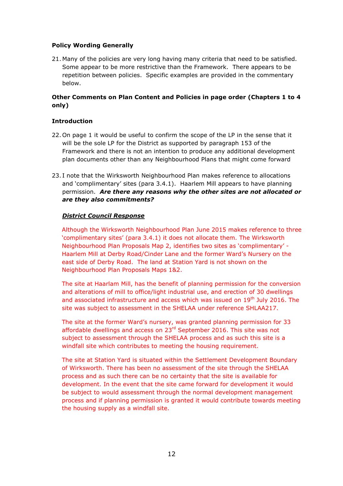# Policy Wording Generally

21. Many of the policies are very long having many criteria that need to be satisfied. Some appear to be more restrictive than the Framework. There appears to be repetition between policies. Specific examples are provided in the commentary below.

# Other Comments on Plan Content and Policies in page order (Chapters 1 to 4 only)

# Introduction

- 22. On page 1 it would be useful to confirm the scope of the LP in the sense that it will be the sole LP for the District as supported by paragraph 153 of the Framework and there is not an intention to produce any additional development plan documents other than any Neighbourhood Plans that might come forward
- 23. I note that the Wirksworth Neighbourhood Plan makes reference to allocations and 'complimentary' sites (para 3.4.1). Haarlem Mill appears to have planning permission. Are there any reasons why the other sites are not allocated or are they also commitments?

# District Council Response

Although the Wirksworth Neighbourhood Plan June 2015 makes reference to three 'complimentary sites' (para 3.4.1) it does not allocate them. The Wirksworth Neighbourhood Plan Proposals Map 2, identifies two sites as 'complimentary' - Haarlem Mill at Derby Road/Cinder Lane and the former Ward's Nursery on the east side of Derby Road. The land at Station Yard is not shown on the Neighbourhood Plan Proposals Maps 1&2.

The site at Haarlam Mill, has the benefit of planning permission for the conversion and alterations of mill to office/light industrial use, and erection of 30 dwellings and associated infrastructure and access which was issued on  $19<sup>th</sup>$  July 2016. The site was subject to assessment in the SHELAA under reference SHLAA217.

The site at the former Ward's nursery, was granted planning permission for 33 affordable dwellings and access on 23<sup>rd</sup> September 2016. This site was not subject to assessment through the SHELAA process and as such this site is a windfall site which contributes to meeting the housing requirement.

The site at Station Yard is situated within the Settlement Development Boundary of Wirksworth. There has been no assessment of the site through the SHELAA process and as such there can be no certainty that the site is available for development. In the event that the site came forward for development it would be subject to would assessment through the normal development management process and if planning permission is granted it would contribute towards meeting the housing supply as a windfall site.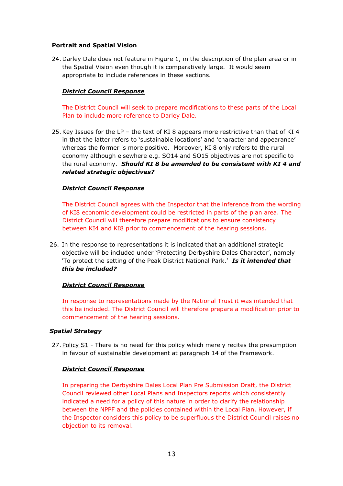# Portrait and Spatial Vision

24. Darley Dale does not feature in Figure 1, in the description of the plan area or in the Spatial Vision even though it is comparatively large. It would seem appropriate to include references in these sections.

# District Council Response

The District Council will seek to prepare modifications to these parts of the Local Plan to include more reference to Darley Dale.

25.Key Issues for the LP – the text of KI 8 appears more restrictive than that of KI 4 in that the latter refers to 'sustainable locations' and 'character and appearance' whereas the former is more positive. Moreover, KI 8 only refers to the rural economy although elsewhere e.g. SO14 and SO15 objectives are not specific to the rural economy. Should KI 8 be amended to be consistent with KI 4 and related strategic objectives?

# District Council Response

The District Council agrees with the Inspector that the inference from the wording of KI8 economic development could be restricted in parts of the plan area. The District Council will therefore prepare modifications to ensure consistency between KI4 and KI8 prior to commencement of the hearing sessions.

26. In the response to representations it is indicated that an additional strategic objective will be included under 'Protecting Derbyshire Dales Character', namely 'To protect the setting of the Peak District National Park.' Is it intended that this be included?

# District Council Response

In response to representations made by the National Trust it was intended that this be included. The District Council will therefore prepare a modification prior to commencement of the hearing sessions.

# Spatial Strategy

27. Policy S1 - There is no need for this policy which merely recites the presumption in favour of sustainable development at paragraph 14 of the Framework.

# District Council Response

In preparing the Derbyshire Dales Local Plan Pre Submission Draft, the District Council reviewed other Local Plans and Inspectors reports which consistently indicated a need for a policy of this nature in order to clarify the relationship between the NPPF and the policies contained within the Local Plan. However, if the Inspector considers this policy to be superfluous the District Council raises no objection to its removal.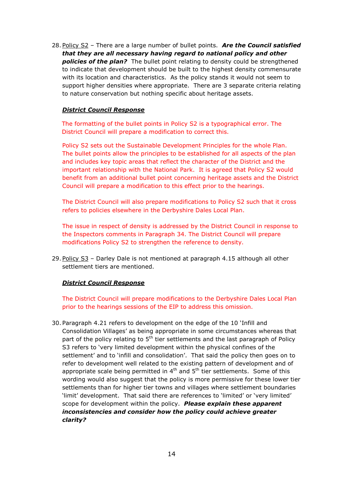28. Policy S2 - There are a large number of bullet points. Are the Council satisfied that they are all necessary having regard to national policy and other **policies of the plan?** The bullet point relating to density could be strengthened to indicate that development should be built to the highest density commensurate with its location and characteristics. As the policy stands it would not seem to support higher densities where appropriate. There are 3 separate criteria relating to nature conservation but nothing specific about heritage assets.

# District Council Response

The formatting of the bullet points in Policy S2 is a typographical error. The District Council will prepare a modification to correct this.

Policy S2 sets out the Sustainable Development Principles for the whole Plan. The bullet points allow the principles to be established for all aspects of the plan and includes key topic areas that reflect the character of the District and the important relationship with the National Park. It is agreed that Policy S2 would benefit from an additional bullet point concerning heritage assets and the District Council will prepare a modification to this effect prior to the hearings.

The District Council will also prepare modifications to Policy S2 such that it cross refers to policies elsewhere in the Derbyshire Dales Local Plan.

The issue in respect of density is addressed by the District Council in response to the Inspectors comments in Paragraph 34. The District Council will prepare modifications Policy S2 to strengthen the reference to density.

29. Policy S3 - Darley Dale is not mentioned at paragraph 4.15 although all other settlement tiers are mentioned.

#### District Council Response

The District Council will prepare modifications to the Derbyshire Dales Local Plan prior to the hearings sessions of the EIP to address this omission.

30. Paragraph 4.21 refers to development on the edge of the 10 'Infill and Consolidation Villages' as being appropriate in some circumstances whereas that part of the policy relating to  $5<sup>th</sup>$  tier settlements and the last paragraph of Policy S3 refers to 'very limited development within the physical confines of the settlement' and to 'infill and consolidation'. That said the policy then goes on to refer to development well related to the existing pattern of development and of appropriate scale being permitted in  $4<sup>th</sup>$  and  $5<sup>th</sup>$  tier settlements. Some of this wording would also suggest that the policy is more permissive for these lower tier settlements than for higher tier towns and villages where settlement boundaries 'limit' development. That said there are references to 'limited' or 'very limited' scope for development within the policy. Please explain these apparent inconsistencies and consider how the policy could achieve greater clarity?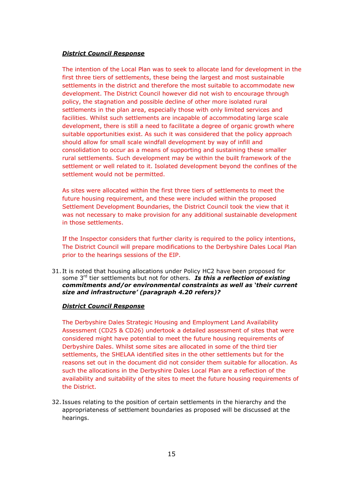The intention of the Local Plan was to seek to allocate land for development in the first three tiers of settlements, these being the largest and most sustainable settlements in the district and therefore the most suitable to accommodate new development. The District Council however did not wish to encourage through policy, the stagnation and possible decline of other more isolated rural settlements in the plan area, especially those with only limited services and facilities. Whilst such settlements are incapable of accommodating large scale development, there is still a need to facilitate a degree of organic growth where suitable opportunities exist. As such it was considered that the policy approach should allow for small scale windfall development by way of infill and consolidation to occur as a means of supporting and sustaining these smaller rural settlements. Such development may be within the built framework of the settlement or well related to it. Isolated development beyond the confines of the settlement would not be permitted.

As sites were allocated within the first three tiers of settlements to meet the future housing requirement, and these were included within the proposed Settlement Development Boundaries, the District Council took the view that it was not necessary to make provision for any additional sustainable development in those settlements.

If the Inspector considers that further clarity is required to the policy intentions, The District Council will prepare modifications to the Derbyshire Dales Local Plan prior to the hearings sessions of the EIP.

31. It is noted that housing allocations under Policy HC2 have been proposed for some  $3^{rd}$  tier settlements but not for others. Is this a reflection of existing commitments and/or environmental constraints as well as 'their current size and infrastructure' (paragraph 4.20 refers)?

#### District Council Response

The Derbyshire Dales Strategic Housing and Employment Land Availability Assessment (CD25 & CD26) undertook a detailed assessment of sites that were considered might have potential to meet the future housing requirements of Derbyshire Dales. Whilst some sites are allocated in some of the third tier settlements, the SHELAA identified sites in the other settlements but for the reasons set out in the document did not consider them suitable for allocation. As such the allocations in the Derbyshire Dales Local Plan are a reflection of the availability and suitability of the sites to meet the future housing requirements of the District.

32. Issues relating to the position of certain settlements in the hierarchy and the appropriateness of settlement boundaries as proposed will be discussed at the hearings.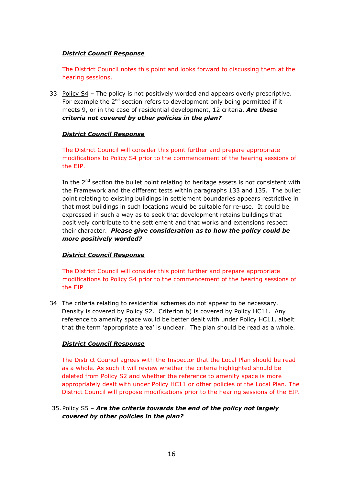The District Council notes this point and looks forward to discussing them at the hearing sessions.

33 Policy S4 – The policy is not positively worded and appears overly prescriptive. For example the 2<sup>nd</sup> section refers to development only being permitted if it meets 9, or in the case of residential development, 12 criteria. Are these criteria not covered by other policies in the plan?

# District Council Response

The District Council will consider this point further and prepare appropriate modifications to Policy S4 prior to the commencement of the hearing sessions of the EIP.

In the  $2<sup>nd</sup>$  section the bullet point relating to heritage assets is not consistent with the Framework and the different tests within paragraphs 133 and 135. The bullet point relating to existing buildings in settlement boundaries appears restrictive in that most buildings in such locations would be suitable for re-use. It could be expressed in such a way as to seek that development retains buildings that positively contribute to the settlement and that works and extensions respect their character. Please give consideration as to how the policy could be more positively worded?

# District Council Response

The District Council will consider this point further and prepare appropriate modifications to Policy S4 prior to the commencement of the hearing sessions of the EIP

34 The criteria relating to residential schemes do not appear to be necessary. Density is covered by Policy S2. Criterion b) is covered by Policy HC11. Any reference to amenity space would be better dealt with under Policy HC11, albeit that the term 'appropriate area' is unclear. The plan should be read as a whole.

# District Council Response

The District Council agrees with the Inspector that the Local Plan should be read as a whole. As such it will review whether the criteria highlighted should be deleted from Policy S2 and whether the reference to amenity space is more appropriately dealt with under Policy HC11 or other policies of the Local Plan. The District Council will propose modifications prior to the hearing sessions of the EIP.

# 35. Policy S5 - Are the criteria towards the end of the policy not largely covered by other policies in the plan?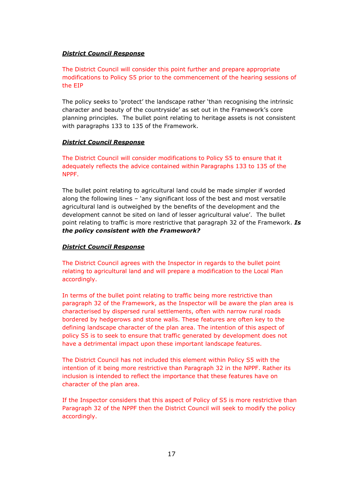The District Council will consider this point further and prepare appropriate modifications to Policy S5 prior to the commencement of the hearing sessions of the EIP

The policy seeks to 'protect' the landscape rather 'than recognising the intrinsic character and beauty of the countryside' as set out in the Framework's core planning principles. The bullet point relating to heritage assets is not consistent with paragraphs 133 to 135 of the Framework.

# District Council Response

The District Council will consider modifications to Policy S5 to ensure that it adequately reflects the advice contained within Paragraphs 133 to 135 of the NPPF.

The bullet point relating to agricultural land could be made simpler if worded along the following lines – 'any significant loss of the best and most versatile agricultural land is outweighed by the benefits of the development and the development cannot be sited on land of lesser agricultural value'. The bullet point relating to traffic is more restrictive that paragraph 32 of the Framework. Is the policy consistent with the Framework?

# District Council Response

The District Council agrees with the Inspector in regards to the bullet point relating to agricultural land and will prepare a modification to the Local Plan accordingly.

In terms of the bullet point relating to traffic being more restrictive than paragraph 32 of the Framework, as the Inspector will be aware the plan area is characterised by dispersed rural settlements, often with narrow rural roads bordered by hedgerows and stone walls. These features are often key to the defining landscape character of the plan area. The intention of this aspect of policy S5 is to seek to ensure that traffic generated by development does not have a detrimental impact upon these important landscape features.

The District Council has not included this element within Policy S5 with the intention of it being more restrictive than Paragraph 32 in the NPPF. Rather its inclusion is intended to reflect the importance that these features have on character of the plan area.

If the Inspector considers that this aspect of Policy of S5 is more restrictive than Paragraph 32 of the NPPF then the District Council will seek to modify the policy accordingly.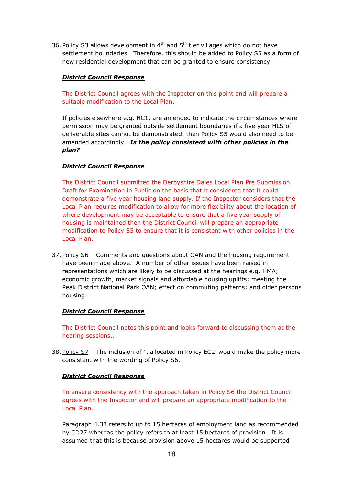36. Policy S3 allows development in  $4<sup>th</sup>$  and  $5<sup>th</sup>$  tier villages which do not have settlement boundaries. Therefore, this should be added to Policy S5 as a form of new residential development that can be granted to ensure consistency.

# District Council Response

The District Council agrees with the Inspector on this point and will prepare a suitable modification to the Local Plan.

If policies elsewhere e.g. HC1, are amended to indicate the circumstances where permission may be granted outside settlement boundaries if a five year HLS of deliverable sites cannot be demonstrated, then Policy S5 would also need to be amended accordingly. Is the policy consistent with other policies in the plan?

# District Council Response

The District Council submitted the Derbyshire Dales Local Plan Pre Submission Draft for Examination in Public on the basis that it considered that it could demonstrate a five year housing land supply. If the Inspector considers that the Local Plan requires modification to allow for more flexibility about the location of where development may be acceptable to ensure that a five year supply of housing is maintained then the District Council will prepare an appropriate modification to Policy S5 to ensure that it is consistent with other policies in the Local Plan.

37. Policy S6 – Comments and questions about OAN and the housing requirement have been made above. A number of other issues have been raised in representations which are likely to be discussed at the hearings e.g. HMA; economic growth, market signals and affordable housing uplifts; meeting the Peak District National Park OAN; effect on commuting patterns; and older persons housing.

# District Council Response

The District Council notes this point and looks forward to discussing them at the hearing sessions..

38. Policy SZ - The inclusion of '...allocated in Policy EC2' would make the policy more consistent with the wording of Policy S6.

# District Council Response

To ensure consistency with the approach taken in Policy S6 the District Council agrees with the Inspector and will prepare an appropriate modification to the Local Plan.

Paragraph 4.33 refers to up to 15 hectares of employment land as recommended by CD27 whereas the policy refers to at least 15 hectares of provision. It is assumed that this is because provision above 15 hectares would be supported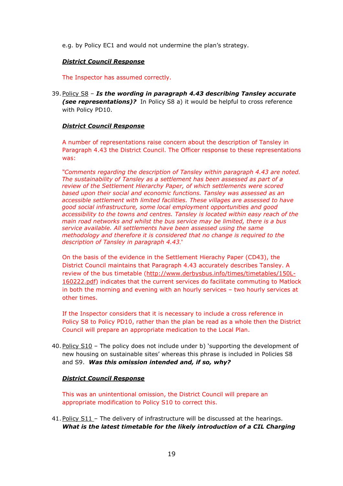e.g. by Policy EC1 and would not undermine the plan's strategy.

#### District Council Response

The Inspector has assumed correctly.

39. Policy S8 – Is the wording in paragraph 4.43 describing Tansley accurate (see representations)? In Policy S8 a) it would be helpful to cross reference with Policy PD10.

#### District Council Response

A number of representations raise concern about the description of Tansley in Paragraph 4.43 the District Council. The Officer response to these representations was:

"Comments regarding the description of Tansley within paragraph 4.43 are noted. The sustainability of Tansley as a settlement has been assessed as part of a review of the Settlement Hierarchy Paper, of which settlements were scored based upon their social and economic functions. Tansley was assessed as an accessible settlement with limited facilities. These villages are assessed to have good social infrastructure, some local employment opportunities and good accessibility to the towns and centres. Tansley is located within easy reach of the main road networks and whilst the bus service may be limited, there is a bus service available. All settlements have been assessed using the same methodology and therefore it is considered that no change is required to the description of Tansley in paragraph 4.43."

On the basis of the evidence in the Settlement Hierachy Paper (CD43), the District Council maintains that Paragraph 4.43 accurately describes Tansley. A review of the bus timetable (http://www.derbysbus.info/times/timetables/150L-160222.pdf) indicates that the current services do facilitate commuting to Matlock in both the morning and evening with an hourly services – two hourly services at other times.

If the Inspector considers that it is necessary to include a cross reference in Policy S8 to Policy PD10, rather than the plan be read as a whole then the District Council will prepare an appropriate medication to the Local Plan.

40. Policy S10 – The policy does not include under b) 'supporting the development of new housing on sustainable sites' whereas this phrase is included in Policies S8 and S9. Was this omission intended and, if so, why?

# District Council Response

This was an unintentional omission, the District Council will prepare an appropriate modification to Policy S10 to correct this.

41. Policy S11 - The delivery of infrastructure will be discussed at the hearings. What is the latest timetable for the likely introduction of a CIL Charging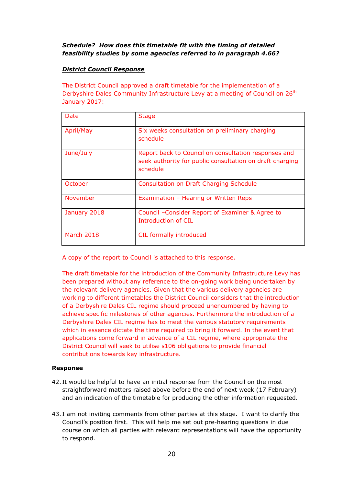# Schedule? How does this timetable fit with the timing of detailed feasibility studies by some agencies referred to in paragraph 4.66?

# District Council Response

The District Council approved a draft timetable for the implementation of a Derbyshire Dales Community Infrastructure Levy at a meeting of Council on 26<sup>th</sup> January 2017:

| Date            | <b>Stage</b>                                                                                                                 |
|-----------------|------------------------------------------------------------------------------------------------------------------------------|
| April/May       | Six weeks consultation on preliminary charging<br>schedule                                                                   |
| June/July       | Report back to Council on consultation responses and<br>seek authority for public consultation on draft charging<br>schedule |
| October         | <b>Consultation on Draft Charging Schedule</b>                                                                               |
| <b>November</b> | Examination - Hearing or Written Reps                                                                                        |
| January 2018    | Council - Consider Report of Examiner & Agree to<br>Introduction of CIL                                                      |
| March 2018      | CIL formally introduced                                                                                                      |

A copy of the report to Council is attached to this response.

The draft timetable for the introduction of the Community Infrastructure Levy has been prepared without any reference to the on-going work being undertaken by the relevant delivery agencies. Given that the various delivery agencies are working to different timetables the District Council considers that the introduction of a Derbyshire Dales CIL regime should proceed unencumbered by having to achieve specific milestones of other agencies. Furthermore the introduction of a Derbyshire Dales CIL regime has to meet the various statutory requirements which in essence dictate the time required to bring it forward. In the event that applications come forward in advance of a CIL regime, where appropriate the District Council will seek to utilise s106 obligations to provide financial contributions towards key infrastructure.

# Response

- 42. It would be helpful to have an initial response from the Council on the most straightforward matters raised above before the end of next week (17 February) and an indication of the timetable for producing the other information requested.
- 43. I am not inviting comments from other parties at this stage. I want to clarify the Council's position first. This will help me set out pre-hearing questions in due course on which all parties with relevant representations will have the opportunity to respond.